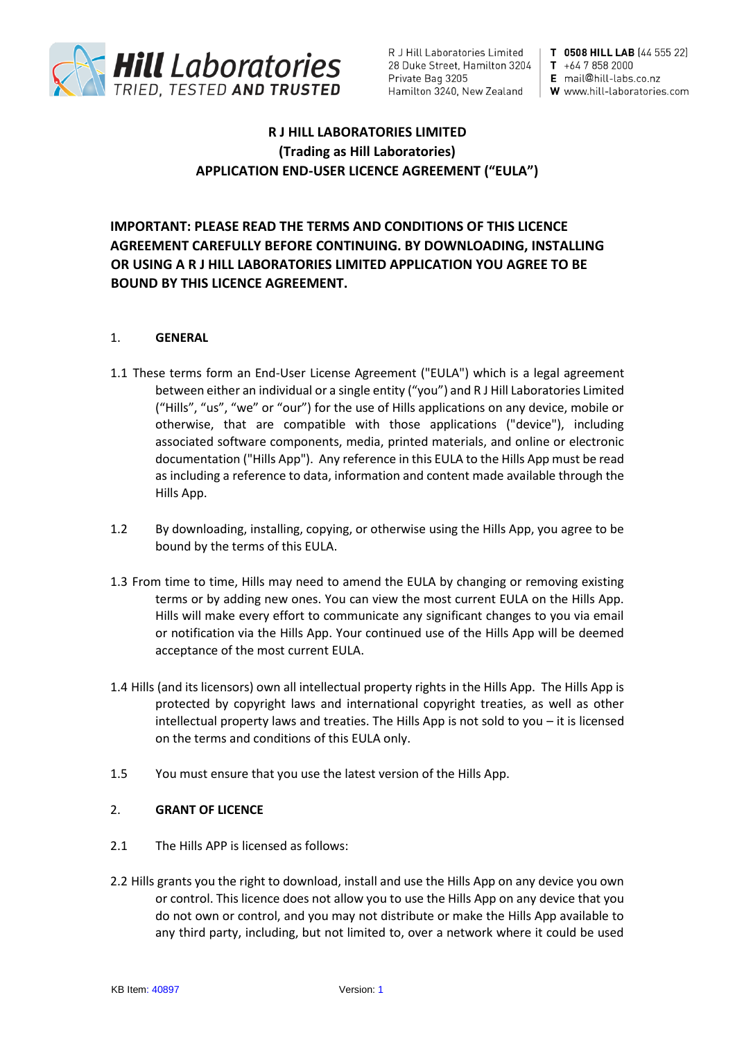

T 0508 HILL LAB (44 555 22)  $T + 6478582000$ E mail@hill-labs.co.nz W www.hill-laboratories.com

# **R J HILL LABORATORIES LIMITED (Trading as Hill Laboratories) APPLICATION END-USER LICENCE AGREEMENT ("EULA")**

# **IMPORTANT: PLEASE READ THE TERMS AND CONDITIONS OF THIS LICENCE AGREEMENT CAREFULLY BEFORE CONTINUING. BY DOWNLOADING, INSTALLING OR USING A R J HILL LABORATORIES LIMITED APPLICATION YOU AGREE TO BE BOUND BY THIS LICENCE AGREEMENT.**

### 1. **GENERAL**

- 1.1 These terms form an End-User License Agreement ("EULA") which is a legal agreement between either an individual or a single entity ("you") and R J Hill Laboratories Limited ("Hills", "us", "we" or "our") for the use of Hills applications on any device, mobile or otherwise, that are compatible with those applications ("device"), including associated software components, media, printed materials, and online or electronic documentation ("Hills App"). Any reference in this EULA to the Hills App must be read as including a reference to data, information and content made available through the Hills App.
- 1.2 By downloading, installing, copying, or otherwise using the Hills App, you agree to be bound by the terms of this EULA.
- 1.3 From time to time, Hills may need to amend the EULA by changing or removing existing terms or by adding new ones. You can view the most current EULA on the Hills App. Hills will make every effort to communicate any significant changes to you via email or notification via the Hills App. Your continued use of the Hills App will be deemed acceptance of the most current EULA.
- 1.4 Hills (and its licensors) own all intellectual property rights in the Hills App. The Hills App is protected by copyright laws and international copyright treaties, as well as other intellectual property laws and treaties. The Hills App is not sold to you – it is licensed on the terms and conditions of this EULA only.
- 1.5 You must ensure that you use the latest version of the Hills App.

### 2. **GRANT OF LICENCE**

- 2.1 The Hills APP is licensed as follows:
- 2.2 Hills grants you the right to download, install and use the Hills App on any device you own or control. This licence does not allow you to use the Hills App on any device that you do not own or control, and you may not distribute or make the Hills App available to any third party, including, but not limited to, over a network where it could be used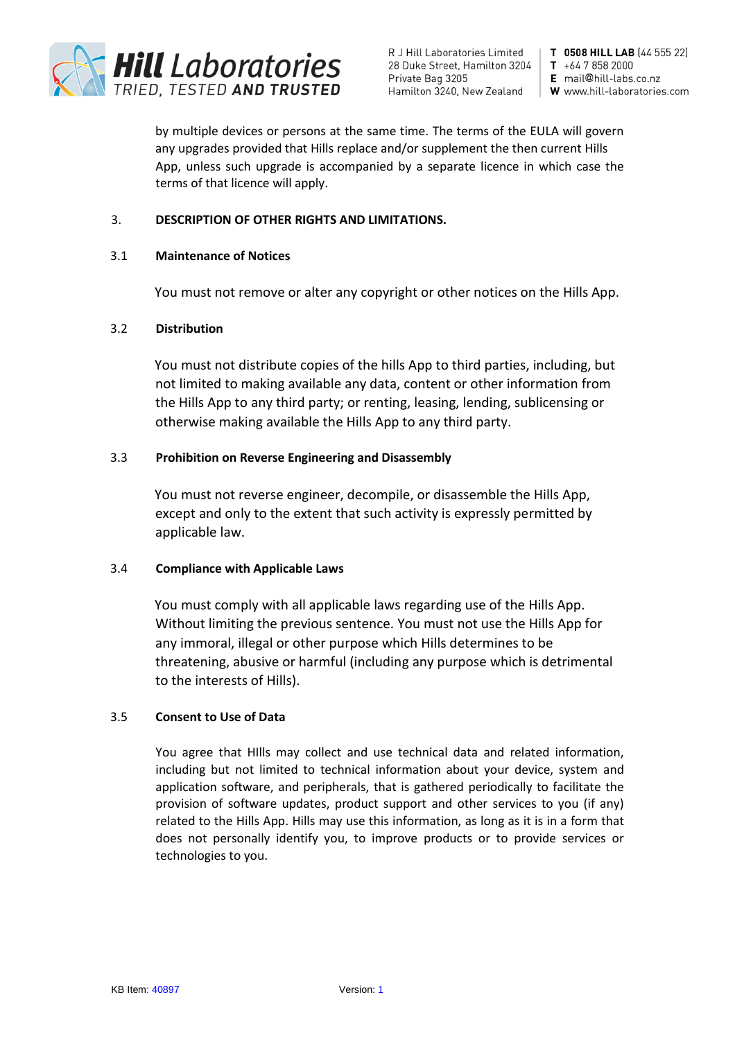

T 0508 HILL LAB (44 555 22)  $T + 6478582000$ E mail@hill-labs.co.nz W www.hill-laboratories.com

by multiple devices or persons at the same time. The terms of the EULA will govern any upgrades provided that Hills replace and/or supplement the then current Hills App, unless such upgrade is accompanied by a separate licence in which case the terms of that licence will apply.

## 3. **DESCRIPTION OF OTHER RIGHTS AND LIMITATIONS.**

## 3.1 **Maintenance of Notices**

You must not remove or alter any copyright or other notices on the Hills App.

# 3.2 **Distribution**

You must not distribute copies of the hills App to third parties, including, but not limited to making available any data, content or other information from the Hills App to any third party; or renting, leasing, lending, sublicensing or otherwise making available the Hills App to any third party.

# 3.3 **Prohibition on Reverse Engineering and Disassembly**

You must not reverse engineer, decompile, or disassemble the Hills App, except and only to the extent that such activity is expressly permitted by applicable law.

### 3.4 **Compliance with Applicable Laws**

You must comply with all applicable laws regarding use of the Hills App. Without limiting the previous sentence. You must not use the Hills App for any immoral, illegal or other purpose which Hills determines to be threatening, abusive or harmful (including any purpose which is detrimental to the interests of Hills).

### 3.5 **Consent to Use of Data**

You agree that HIlls may collect and use technical data and related information, including but not limited to technical information about your device, system and application software, and peripherals, that is gathered periodically to facilitate the provision of software updates, product support and other services to you (if any) related to the Hills App. Hills may use this information, as long as it is in a form that does not personally identify you, to improve products or to provide services or technologies to you.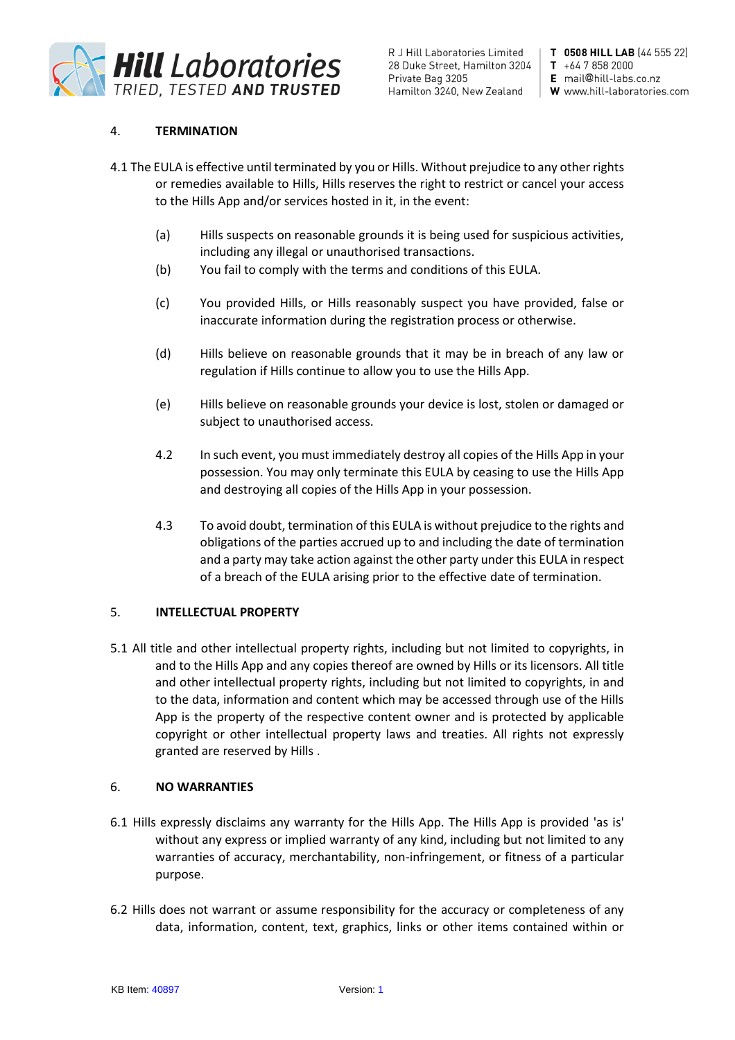

T 0508 HILL LAB (44 555 22)  $T + 6478582000$ E mail@hill-labs.co.nz W www.hill-laboratories.com

# 4. **TERMINATION**

- 4.1 The EULA is effective until terminated by you or Hills. Without prejudice to any other rights or remedies available to Hills, Hills reserves the right to restrict or cancel your access to the Hills App and/or services hosted in it, in the event:
	- (a) Hills suspects on reasonable grounds it is being used for suspicious activities, including any illegal or unauthorised transactions.
	- (b) You fail to comply with the terms and conditions of this EULA.
	- (c) You provided Hills, or Hills reasonably suspect you have provided, false or inaccurate information during the registration process or otherwise.
	- (d) Hills believe on reasonable grounds that it may be in breach of any law or regulation if Hills continue to allow you to use the Hills App.
	- (e) Hills believe on reasonable grounds your device is lost, stolen or damaged or subject to unauthorised access.
	- 4.2 In such event, you must immediately destroy all copies of the Hills App in your possession. You may only terminate this EULA by ceasing to use the Hills App and destroying all copies of the Hills App in your possession.
	- 4.3 To avoid doubt, termination of this EULA is without prejudice to the rights and obligations of the parties accrued up to and including the date of termination and a party may take action against the other party under this EULA in respect of a breach of the EULA arising prior to the effective date of termination.

### 5. **INTELLECTUAL PROPERTY**

5.1 All title and other intellectual property rights, including but not limited to copyrights, in and to the Hills App and any copies thereof are owned by Hills or its licensors. All title and other intellectual property rights, including but not limited to copyrights, in and to the data, information and content which may be accessed through use of the Hills App is the property of the respective content owner and is protected by applicable copyright or other intellectual property laws and treaties. All rights not expressly granted are reserved by Hills .

### 6. **NO WARRANTIES**

- 6.1 Hills expressly disclaims any warranty for the Hills App. The Hills App is provided 'as is' without any express or implied warranty of any kind, including but not limited to any warranties of accuracy, merchantability, non-infringement, or fitness of a particular purpose.
- 6.2 Hills does not warrant or assume responsibility for the accuracy or completeness of any data, information, content, text, graphics, links or other items contained within or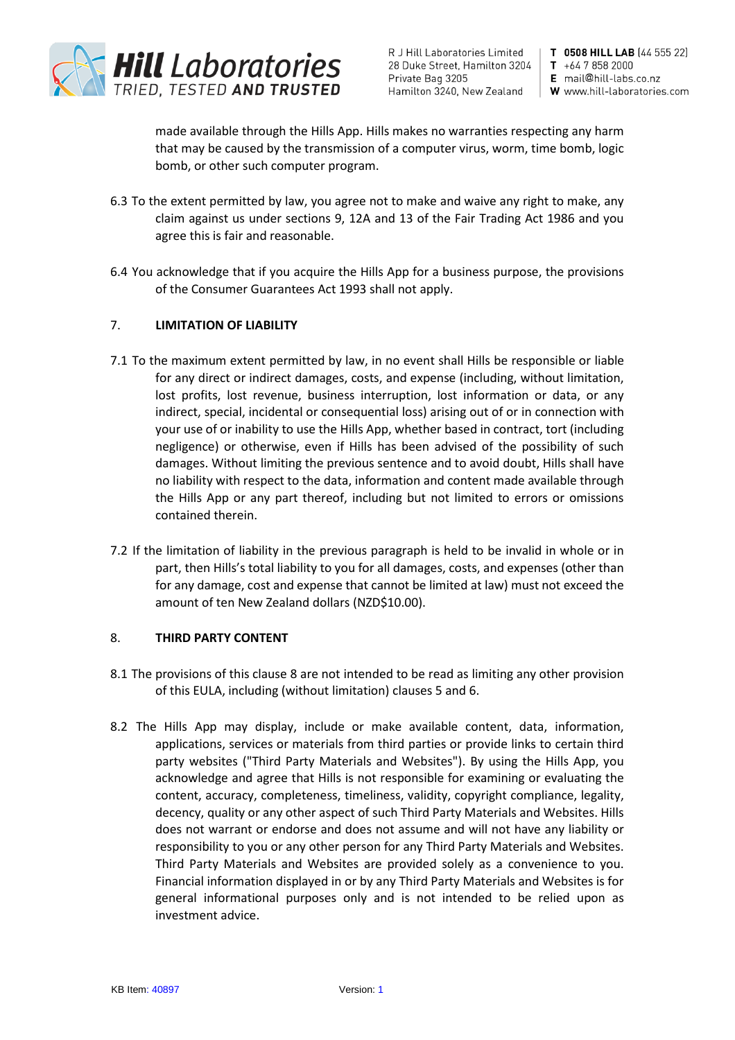

T 0508 HILL LAB (44 555 22)  $T + 6478582000$ E mail@hill-labs.co.nz W www.hill-laboratories.com

made available through the Hills App. Hills makes no warranties respecting any harm that may be caused by the transmission of a computer virus, worm, time bomb, logic bomb, or other such computer program.

- 6.3 To the extent permitted by law, you agree not to make and waive any right to make, any claim against us under sections 9, 12A and 13 of the Fair Trading Act 1986 and you agree this is fair and reasonable.
- 6.4 You acknowledge that if you acquire the Hills App for a business purpose, the provisions of the Consumer Guarantees Act 1993 shall not apply.

# 7. **LIMITATION OF LIABILITY**

- 7.1 To the maximum extent permitted by law, in no event shall Hills be responsible or liable for any direct or indirect damages, costs, and expense (including, without limitation, lost profits, lost revenue, business interruption, lost information or data, or any indirect, special, incidental or consequential loss) arising out of or in connection with your use of or inability to use the Hills App, whether based in contract, tort (including negligence) or otherwise, even if Hills has been advised of the possibility of such damages. Without limiting the previous sentence and to avoid doubt, Hills shall have no liability with respect to the data, information and content made available through the Hills App or any part thereof, including but not limited to errors or omissions contained therein.
- 7.2 If the limitation of liability in the previous paragraph is held to be invalid in whole or in part, then Hills's total liability to you for all damages, costs, and expenses (other than for any damage, cost and expense that cannot be limited at law) must not exceed the amount of ten New Zealand dollars (NZD\$10.00).

### 8. **THIRD PARTY CONTENT**

- 8.1 The provisions of this clause 8 are not intended to be read as limiting any other provision of this EULA, including (without limitation) clauses 5 and 6.
- 8.2 The Hills App may display, include or make available content, data, information, applications, services or materials from third parties or provide links to certain third party websites ("Third Party Materials and Websites"). By using the Hills App, you acknowledge and agree that Hills is not responsible for examining or evaluating the content, accuracy, completeness, timeliness, validity, copyright compliance, legality, decency, quality or any other aspect of such Third Party Materials and Websites. Hills does not warrant or endorse and does not assume and will not have any liability or responsibility to you or any other person for any Third Party Materials and Websites. Third Party Materials and Websites are provided solely as a convenience to you. Financial information displayed in or by any Third Party Materials and Websites is for general informational purposes only and is not intended to be relied upon as investment advice.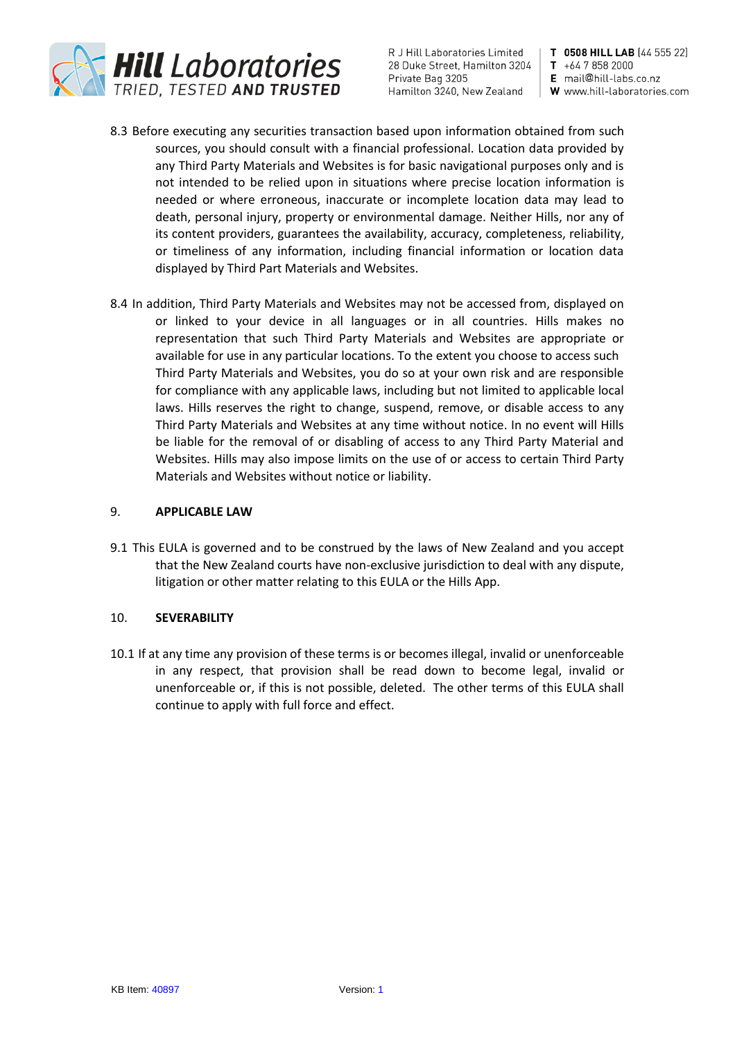

T 0508 HILL LAB (44 555 22)  $T + 6478582000$ 

- E mail@hill-labs.co.nz W www.hill-laboratories.com
- 8.3 Before executing any securities transaction based upon information obtained from such sources, you should consult with a financial professional. Location data provided by any Third Party Materials and Websites is for basic navigational purposes only and is not intended to be relied upon in situations where precise location information is needed or where erroneous, inaccurate or incomplete location data may lead to death, personal injury, property or environmental damage. Neither Hills, nor any of its content providers, guarantees the availability, accuracy, completeness, reliability, or timeliness of any information, including financial information or location data displayed by Third Part Materials and Websites.
- 8.4 In addition, Third Party Materials and Websites may not be accessed from, displayed on or linked to your device in all languages or in all countries. Hills makes no representation that such Third Party Materials and Websites are appropriate or available for use in any particular locations. To the extent you choose to access such Third Party Materials and Websites, you do so at your own risk and are responsible for compliance with any applicable laws, including but not limited to applicable local laws. Hills reserves the right to change, suspend, remove, or disable access to any Third Party Materials and Websites at any time without notice. In no event will Hills be liable for the removal of or disabling of access to any Third Party Material and Websites. Hills may also impose limits on the use of or access to certain Third Party Materials and Websites without notice or liability.

### 9. **APPLICABLE LAW**

9.1 This EULA is governed and to be construed by the laws of New Zealand and you accept that the New Zealand courts have non-exclusive jurisdiction to deal with any dispute, litigation or other matter relating to this EULA or the Hills App.

### 10. **SEVERABILITY**

10.1 If at any time any provision of these terms is or becomes illegal, invalid or unenforceable in any respect, that provision shall be read down to become legal, invalid or unenforceable or, if this is not possible, deleted. The other terms of this EULA shall continue to apply with full force and effect.